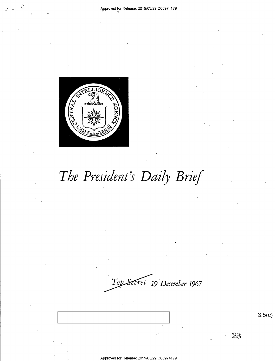

# The President's Daily Brief

*cret* **19** *December* **1967** 

Approved for Release: 2019/03/29 C0597 4179

3.5(c)

23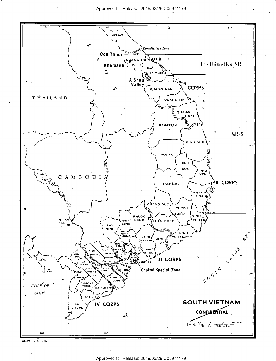Approved for Release: 2019/03/29 C0597 4179

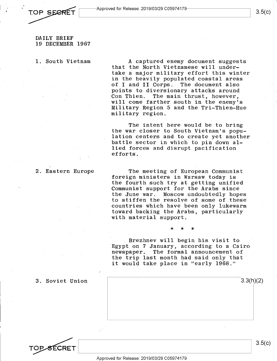

DAILY BRIEF 19 DECEMBER 1967

1. South Vietnam

A captured enemy document suggests that the North Vietnamese will undertake a major military effort this winter in the heavily populated coastal areas of I and II Corps. The document also points to diversionary attacks around<br>Con Thien. The main thrust, however, The main thrust, however, will come farther south in the enemy's Military Region 5 and the Tri-Thien-Hue military region.

The intent here would be to bring the war closer to South Vietnam's population centers and to create yet another battle sector in which to pin down allied forces and disrupt pacification efforts.

2. Eastern Europe

The meeting of European Communist foreign ministers in Warsaw today is the fourth such try at getting unified Communist support for the Arabs since the June war. Moscow undoubtedly hopes to stiffen the resolve of some of these countries which have been only lukewarm toward backing the Arabs, particularly with material support.

\* \* \*

Brezhnev will begin his visit to Egypt on 7 January, according to a Cairo newspaper. The formal announcement of the trip last month had said only that it would take place in "early 1968."

3. Soviet Union 3.3(h)(2)



3.5(c)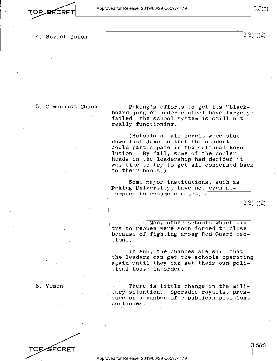I .. •· ~~---A-p\_p\_ro\_ve\_d\_f\_o\_r R-e-1e\_a\_se\_:\_2\_0\_19\_10\_3\_12\_9\_c\_o\_5\_97\_4\_1\_79---------~ 3.5( c)

- - 4. Soviet Union

3.3(h)(2)

5. Communist China

Peking's efforts to get its "blackboard jungle" under control have largely · failed; the school system is still not really functioning.

(Schools at all levels were shut down last June so that the students could participate in the Cultural Revolution. By.fall, some of the cooler heads in the leadership had decided it was time to try to get all concerned back to their books.)

Some major institutions, such as Peking University, have not even attempted to resume classes.

3.3(h)(2)

Many other schools which did try to reopen were soon forced to close because of fighting among Red Guard factions.

In sum, the chances are slim that the leaders can get the schools operating again until they can set their own political house in order.

6. Yemen

TOP-SECRET

There is little change in the mili-<br>tary situation. Sporadic royalist pres-Sporadic royalist pressure on a number of republican positions continues.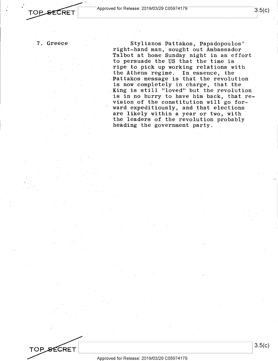

7. Greece

TOP SECRET

Stylianos Pattakos, Papadopoulos' right-hand man, sought out Ambassador Talbot at home Sunday night in an effort to persuade the US that the time is ripe to pick up working relations with the Athens regime. In essence, the Pattakos message is that the revolution is now completely in charge, that the .King is still "loved" but the revolution is in no hurry to have him back, that revision of the constitution will go forward expeditiously, and that elections are likely within a year or two, with the leaders of the revolution probably heading the government party.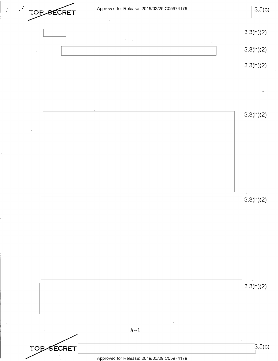~~--A-pp-ro-ve\_d\_fo\_r\_R\_ele\_a\_se\_: 2-0-19-/0\_3\_/2\_9\_co\_5-97\_4\_17\_9 \_\_\_\_\_\_\_ \_\_\_J **3.5(c) 3.3(h)(2) 3.3(h)(2) 3.3(h)(2) 3.3(h)(2) 3.3(h)(2) 3.3(h)(2) A-1 3.5(c)** TOPSECRET  $\mathbf{L}$ Approved for Release: 2019/03/29 C0597 4179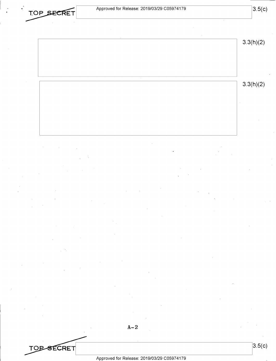**TOP SECRET** 

**3.3(h)(2) 3.3(h)(2)** 

**A-2** 

**3.5(c)**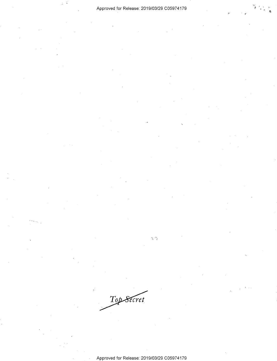÷ Ĵ,

Top Secret

Approved for Release: 2019/03/29 C0597 4179

 $\frac{1}{\sqrt{2}}$  ,  $\frac{d\bar{p}}{\sqrt{2}}$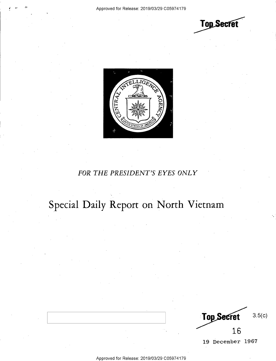**Top Secret** 



### *FOR THE PRESIDENT'S EYES ONLY*

## Special Daily Report on North Vietnam

3.5(c) **Top Secret** 16

19 December 1967

Approved for Release: 2019/03/29 C0597 4179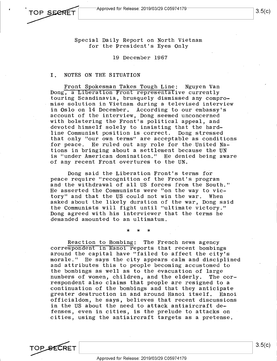TOP SEERET

Special Daily Report on North Vietnam for the President's Eyes Only

19 December 1967

### I. NOTES ON THE SITUATION

Front Spokesman Takes Tough Line: Nguyen Van bong, a Liberation Front representative currently touring Scandinavia, brusquely dismissed any compromise solution in Vietnam during a televised interview in Oslo on 14 December. According to our embassy's account of the interview, Dong seemed unconcerned with bolstering the Front's political appeal, and devoted himself solely to insisting that the hardline Communist position is correct. Dong stressed that only "our own terms" are acceptable as conditions for peace. He ruled out any role for the United Nations in bringing about a settlement because the UN is "under American domination." He denied being aware of any recent Front overtures to the UN.

Dong said the Liberation Front's terms for peace require "recognition of the Front's program and the withdrawal of all US forces from the South." He asserted the Communists were "on the way to victory" and that the US could not win the war. When asked about the likely duration of the war, Dong said the Communists will fight until "ultimate victory." Dong agreed with his interviewer that the terms he demanded amounted to an ultimatum.

\* \* \*

Reaction to Bombing: The French news agency correspondent in Hanoi reports that recent bombings around the capital have "failed to affect the city's morale." He says the city appears calm and disciplined and attributes this to people becoming accustomed to the bombings as well as to the evacuation of large numbers of women, children, and the elderly. The correspondent also claims that people are resigned to a continuation of the bombings and that they anticipate greater destruction in and around Hanoi itself. Hanoi officialdom, he says, believes that recent discussions in the US about the need to attack antiaircraft defenses, even in cities, is the prelude to attacks on cities, using the antiaircraft targets as a pretense.

TOP\_SECRET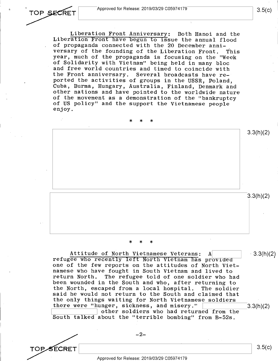

**TOPSECRET** 

Liberation Front Anniversary: Both Hanoi and the Liberation Front have begun to issue the annual flood of propaganda connected with the 20 December anniversary of the founding of the Liberation Front. This year, much of the propaganda is focusing on the "Week of Solidarity with Vietnam" being held in many bloc and free world countries and timed to coincide with<br>the Front anniversary. Several broadcasts have re-Several broadcasts have reported the activities of groups in the USSR, Poland, Cuba, Burma, Hungary, Australia, Finland, Denmark and other nations and have pointed to the worldwide nature of the movement as a demonstration of the "bankruptcy of US policy" and the support the Vietnamese people enjoy.

\* \* \* 3.3(h)(2) 3.3(h)(2)

\* \* \*

Attitude of North Vietnamese Veterans:  $A$  |  $\cdot$  3.3(h)(2) refugee who recently left North Vietnam has provided one of the few reports on the attitudes of North Vietnamese who have fought in South Vietnam and lived to<br>return North. The refugee told of one soldier who h The refugee told of one soldier who had been wounded in the South and who, after returning to the North, escaped from a local hospital. The soldier said he would not return to the South and claimed that the only things waiting for North Vietnamese soldiers there were "hunger, sickness, and misery."  $\sqrt{3.3(h)(2)}$ other soldiers who had returned from the

South talked about the "terrible bombing" from B-52s.

 $-2-$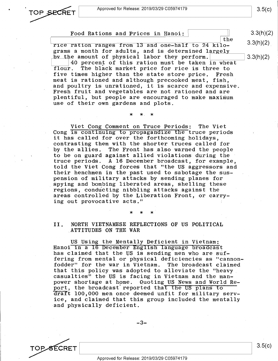

3.5(c)

3.3(h)(2)

3.3(h)(2)

Food Rations and Prices in Hanoi:

the rice ration ranges from 13 and one-half to 24 kilo-<br>grams a month for adults, and is determined largely<br>by the amount of physical labor they perform.<br> $\boxed{ }$  3.3(h)(2)<br>40 percent of this ration must be taken in wheat rice ration ranges from  $13$  and one-half to  $24$  kilograms a month for adults, and is determined largely by the amount of physical labor they perform.<br>40 percent of this ration must be taken in wheat<br>flour. The black market price for rice is three to The black market price for rice is three to five times higher than the state store price. Fresh meat is rationed and although precooked meat, fish, and poultry is unrationed, it is scarce and expensive. Fresh fruit and vegetables are not rationed and are plentiful, but people are encouraged to make maximum use of their own gardens and plots.

\* \* \*

Viet Cong Comment on Truce Periods: The Viet Cong is continuing to propagandize the truce periods it has called for over the forthcoming holidays, contrasting them with the shorter truces called for by the allies. The Front has also warned the people to be on guard against allied violations during the truce periods. A 16 December broadcast, for example, told the Viet Cong forces that "the US aggressors and their henchmen in the past used to sabotage the suspension of military attacks by sending planes for spying and bombing liberated areas, shelling these regions, conducting nibbling attacks against the areas controlled by the Liberation Front, or carrying out provocative acts."

### II. NORTH VIETNAMESE REFLECTIONS OF US POLITICAL ,ATTITUDES ON THE WAR

\* \* \*

US Using the Mentally Deficient in Vietnam: Hanoi in a **16** December English language broadcast has claimed that the US is sending men who are suffering from mental or physical deficiencies as "cannonfodder" for the war in Vietnam. The broadcast claimed that this policy was adopted to alleviate the "heavy casualties" the US is facing in Vietnam and the manpower shortage at home. Quoting US News and World Report, the broadcast' reported that the US plans to araft 100,000 men once deemed unfit for military service, and claimed that this group included the mentally and physically deficient.

-3-

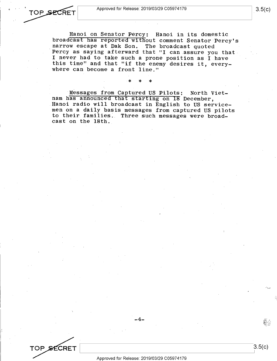3.5(c)

*,: ...* ,..

3.5(c)

Hanoi on Senator Percy: Hanoi in its domestic broadcast has reported without comment Senator Percy's narrow escape at Dak Son. The broadcast quoted Percy as saying afterward that "I can assure you that I never had to take such a prone position as I have this time" and that "if the enemy desires it, everywhere can become a front line."

Messages from Captured US Pilots: North Vietnam has announced that starting on **18** December, Hanoi radio will broadcast in English to US servicemen on a daily basis messages from captured US pilots to their families: Three such messages were broadcast on the 18th.

\* \* \*

e •

TOP SECRET

-4-